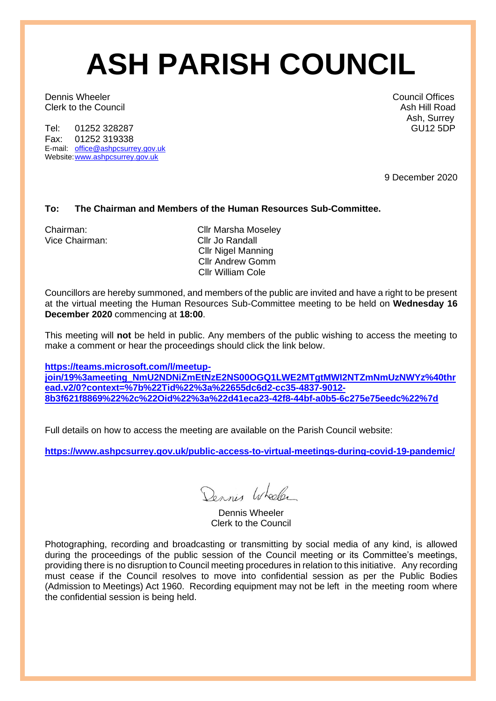# **ASH PARISH COUNCIL**

Dennis Wheeler Council Offices<br>
Council Offices<br>
Clerk to the Council Clerk of the Council Clerk to the Council

Tel: 01252 328287 Fax: 01252 319338 E-mail: [office@ashpcsurrey.gov.uk](mailto:office@ashpcsurrey.gov.uk) Website: www.ashpcsurrey.gov.uk

Ash, Surrey<br>GU12 5DP

9 December 2020

### **To: The Chairman and Members of the Human Resources Sub-Committee.**

Vice Chairman: Cllr Jo Randall

Chairman: Cllr Marsha Moseley Cllr Nigel Manning Cllr Andrew Gomm Cllr William Cole

Councillors are hereby summoned, and members of the public are invited and have a right to be present at the virtual meeting the Human Resources Sub-Committee meeting to be held on **Wednesday 16 December 2020** commencing at **18:00**.

This meeting will **not** be held in public. Any members of the public wishing to access the meeting to make a comment or hear the proceedings should click the link below.

**[https://teams.microsoft.com/l/meetup](https://teams.microsoft.com/l/meetup-join/19%3ameeting_NmU2NDNiZmEtNzE2NS00OGQ1LWE2MTgtMWI2NTZmNmUzNWYz%40thread.v2/0?context=%7b%22Tid%22%3a%22655dc6d2-cc35-4837-9012-8b3f621f8869%22%2c%22Oid%22%3a%22d41eca23-42f8-44bf-a0b5-6c275e75eedc%22%7d)[join/19%3ameeting\\_NmU2NDNiZmEtNzE2NS00OGQ1LWE2MTgtMWI2NTZmNmUzNWYz%40thr](https://teams.microsoft.com/l/meetup-join/19%3ameeting_NmU2NDNiZmEtNzE2NS00OGQ1LWE2MTgtMWI2NTZmNmUzNWYz%40thread.v2/0?context=%7b%22Tid%22%3a%22655dc6d2-cc35-4837-9012-8b3f621f8869%22%2c%22Oid%22%3a%22d41eca23-42f8-44bf-a0b5-6c275e75eedc%22%7d) [ead.v2/0?context=%7b%22Tid%22%3a%22655dc6d2-cc35-4837-9012-](https://teams.microsoft.com/l/meetup-join/19%3ameeting_NmU2NDNiZmEtNzE2NS00OGQ1LWE2MTgtMWI2NTZmNmUzNWYz%40thread.v2/0?context=%7b%22Tid%22%3a%22655dc6d2-cc35-4837-9012-8b3f621f8869%22%2c%22Oid%22%3a%22d41eca23-42f8-44bf-a0b5-6c275e75eedc%22%7d) [8b3f621f8869%22%2c%22Oid%22%3a%22d41eca23-42f8-44bf-a0b5-6c275e75eedc%22%7d](https://teams.microsoft.com/l/meetup-join/19%3ameeting_NmU2NDNiZmEtNzE2NS00OGQ1LWE2MTgtMWI2NTZmNmUzNWYz%40thread.v2/0?context=%7b%22Tid%22%3a%22655dc6d2-cc35-4837-9012-8b3f621f8869%22%2c%22Oid%22%3a%22d41eca23-42f8-44bf-a0b5-6c275e75eedc%22%7d)**

Full details on how to access the meeting are available on the Parish Council website:

**<https://www.ashpcsurrey.gov.uk/public-access-to-virtual-meetings-during-covid-19-pandemic/>**

Dennis Wheeler

Dennis Wheeler Clerk to the Council

Photographing, recording and broadcasting or transmitting by social media of any kind, is allowed during the proceedings of the public session of the Council meeting or its Committee's meetings, providing there is no disruption to Council meeting procedures in relation to this initiative. Any recording must cease if the Council resolves to move into confidential session as per the Public Bodies (Admission to Meetings) Act 1960. Recording equipment may not be left in the meeting room where the confidential session is being held.